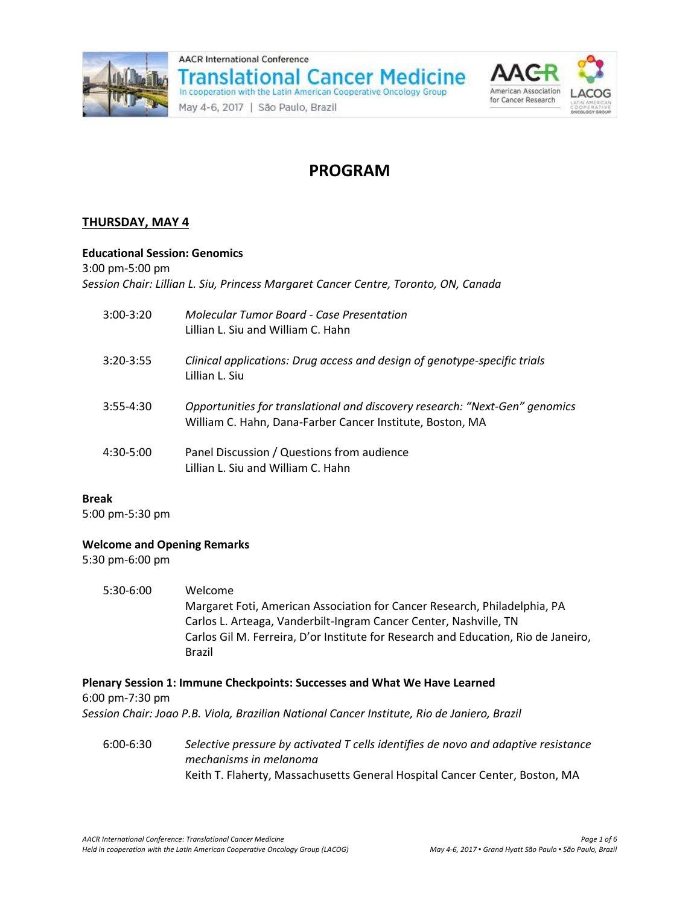



# **PROGRAM**

## **THURSDAY, MAY 4**

### **Educational Session: Genomics**

3:00 pm-5:00 pm

*Session Chair: Lillian L. Siu, Princess Margaret Cancer Centre, Toronto, ON, Canada*

| $3:00-3:20$   | Molecular Tumor Board - Case Presentation<br>Lillian L. Siu and William C. Hahn                                                          |
|---------------|------------------------------------------------------------------------------------------------------------------------------------------|
| $3:20 - 3:55$ | Clinical applications: Drug access and design of genotype-specific trials<br>Lillian L. Siu                                              |
| $3:55 - 4:30$ | Opportunities for translational and discovery research: "Next-Gen" genomics<br>William C. Hahn, Dana-Farber Cancer Institute, Boston, MA |
| $4:30-5:00$   | Panel Discussion / Questions from audience<br>Lillian L. Siu and William C. Hahn                                                         |

#### **Break**

5:00 pm-5:30 pm

#### **Welcome and Opening Remarks**

5:30 pm-6:00 pm

5:30-6:00 Welcome Margaret Foti, American Association for Cancer Research, Philadelphia, PA Carlos L. Arteaga, Vanderbilt-Ingram Cancer Center, Nashville, TN Carlos Gil M. Ferreira, D'or Institute for Research and Education, Rio de Janeiro, Brazil

#### **Plenary Session 1: Immune Checkpoints: Successes and What We Have Learned** 6:00 pm-7:30 pm *Session Chair: Joao P.B. Viola, Brazilian National Cancer Institute, Rio de Janiero, Brazil*

6:00-6:30 *Selective pressure by activated T cells identifies de novo and adaptive resistance mechanisms in melanoma* Keith T. Flaherty, Massachusetts General Hospital Cancer Center, Boston, MA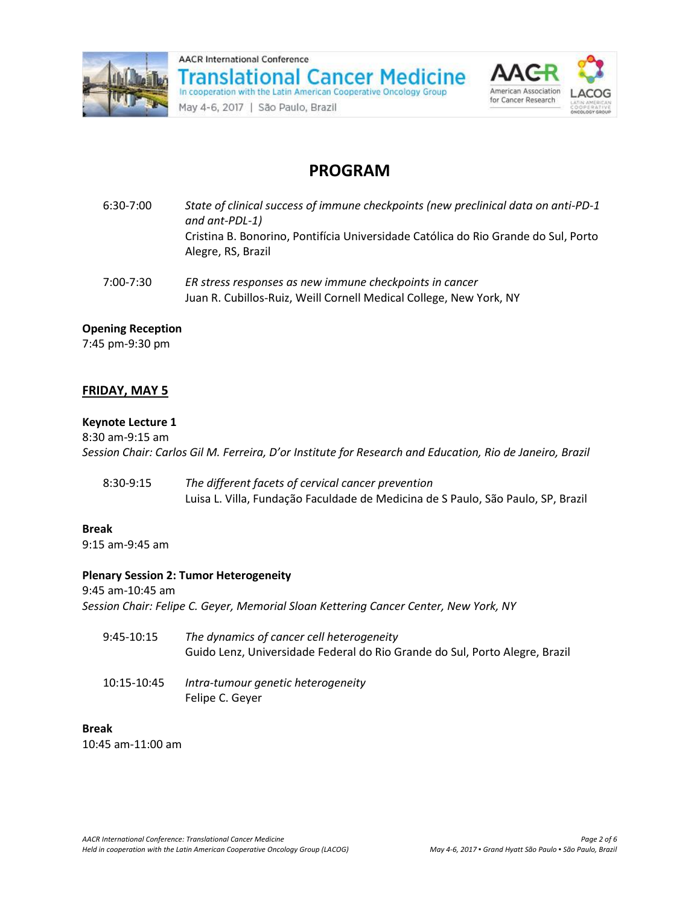



# **PROGRAM**

| 6:30-7:00 | State of clinical success of immune checkpoints (new preclinical data on anti-PD-1<br>and ant-PDL-1)<br>Cristina B. Bonorino, Pontifícia Universidade Católica do Rio Grande do Sul, Porto<br>Alegre, RS, Brazil |
|-----------|------------------------------------------------------------------------------------------------------------------------------------------------------------------------------------------------------------------|
| 7:00-7:30 | ER stress responses as new immune checkpoints in cancer                                                                                                                                                          |

Juan R. Cubillos-Ruiz, Weill Cornell Medical College, New York, NY

### **Opening Reception**

7:45 pm-9:30 pm

## **FRIDAY, MAY 5**

#### **Keynote Lecture 1**

8:30 am-9:15 am *Session Chair: Carlos Gil M. Ferreira, D'or Institute for Research and Education, Rio de Janeiro, Brazil*

8:30-9:15 *The different facets of cervical cancer prevention* Luisa L. Villa, Fundação Faculdade de Medicina de S Paulo, São Paulo, SP, Brazil

#### **Break**

9:15 am-9:45 am

#### **Plenary Session 2: Tumor Heterogeneity**

9:45 am-10:45 am *Session Chair: Felipe C. Geyer, Memorial Sloan Kettering Cancer Center, New York, NY*

9:45-10:15 *The dynamics of cancer cell heterogeneity* Guido Lenz, Universidade Federal do Rio Grande do Sul, Porto Alegre, Brazil 10:15-10:45 *Intra-tumour genetic heterogeneity*

Felipe C. Geyer

### **Break**

10:45 am-11:00 am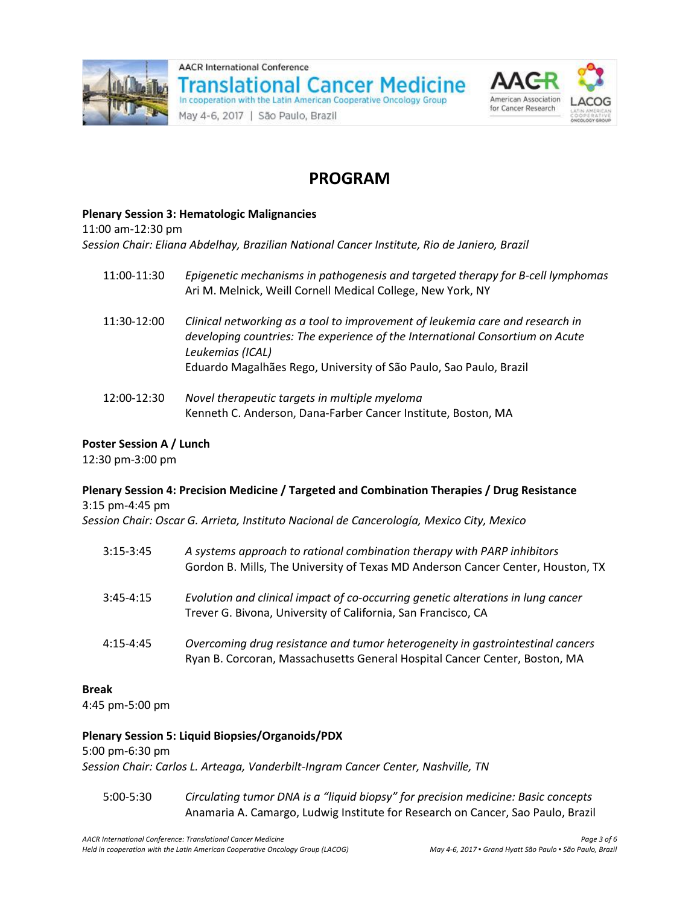



# **PROGRAM**

#### **Plenary Session 3: Hematologic Malignancies**

11:00 am-12:30 pm

*Session Chair: Eliana Abdelhay, Brazilian National Cancer Institute, Rio de Janiero, Brazil*

- 11:00-11:30 *Epigenetic mechanisms in pathogenesis and targeted therapy for B-cell lymphomas* Ari M. Melnick, Weill Cornell Medical College, New York, NY
- 11:30-12:00 *Clinical networking as a tool to improvement of leukemia care and research in developing countries: The experience of the International Consortium on Acute Leukemias (ICAL)* Eduardo Magalhães Rego, University of São Paulo, Sao Paulo, Brazil
- 12:00-12:30 *Novel therapeutic targets in multiple myeloma* Kenneth C. Anderson, Dana-Farber Cancer Institute, Boston, MA

### **Poster Session A / Lunch**

12:30 pm-3:00 pm

### **Plenary Session 4: Precision Medicine / Targeted and Combination Therapies / Drug Resistance** 3:15 pm-4:45 pm

*Session Chair: Oscar G. Arrieta, Instituto Nacional de Cancerología, Mexico City, Mexico*

| $3:15-3:45$   | A systems approach to rational combination therapy with PARP inhibitors<br>Gordon B. Mills, The University of Texas MD Anderson Cancer Center, Houston, TX   |
|---------------|--------------------------------------------------------------------------------------------------------------------------------------------------------------|
| $3:45 - 4:15$ | Evolution and clinical impact of co-occurring genetic alterations in lung cancer<br>Trever G. Bivona, University of California, San Francisco, CA            |
| 4:15-4:45     | Overcoming drug resistance and tumor heterogeneity in gastrointestinal cancers<br>Ryan B. Corcoran, Massachusetts General Hospital Cancer Center, Boston, MA |

#### **Break**

4:45 pm-5:00 pm

#### **Plenary Session 5: Liquid Biopsies/Organoids/PDX**

#### 5:00 pm-6:30 pm

*Session Chair: Carlos L. Arteaga, Vanderbilt-Ingram Cancer Center, Nashville, TN*

5:00-5:30 *Circulating tumor DNA is a "liquid biopsy" for precision medicine: Basic concepts* Anamaria A. Camargo, Ludwig Institute for Research on Cancer, Sao Paulo, Brazil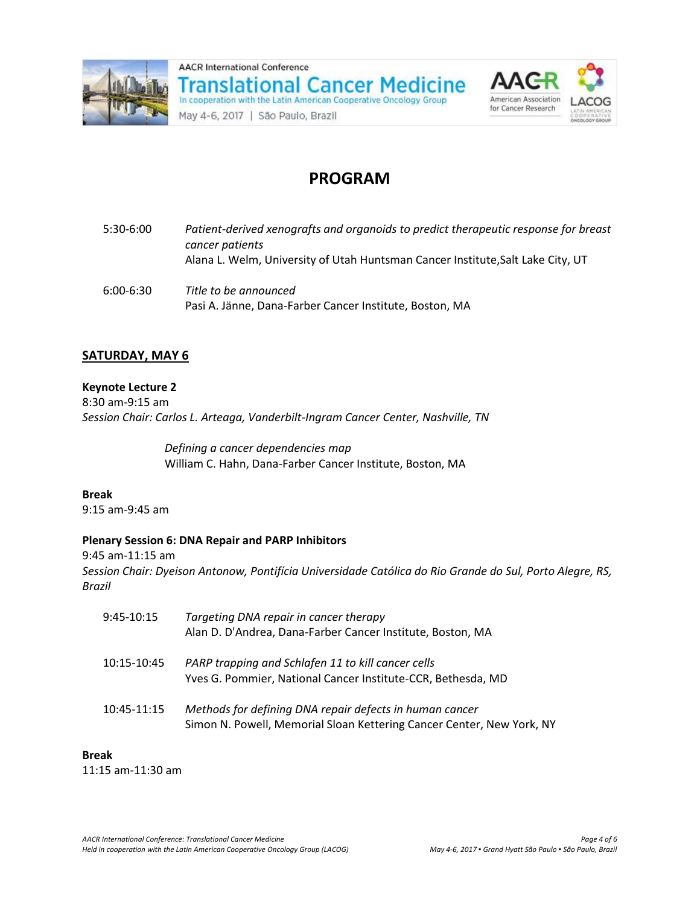





# **PROGRAM**

| 5:30-6:00     | Patient-derived xenografts and organoids to predict therapeutic response for breast<br>cancer patients<br>Alana L. Welm, University of Utah Huntsman Cancer Institute, Salt Lake City, UT |
|---------------|-------------------------------------------------------------------------------------------------------------------------------------------------------------------------------------------|
| $6:00 - 6:30$ | Title to be announced<br>Pasi A. Jänne, Dana-Farber Cancer Institute, Boston, MA                                                                                                          |

### **SATURDAY, MAY 6**

#### **Keynote Lecture 2**

8:30 am-9:15 am *Session Chair: Carlos L. Arteaga, Vanderbilt-Ingram Cancer Center, Nashville, TN*

> *Defining a cancer dependencies map* William C. Hahn, Dana-Farber Cancer Institute, Boston, MA

# **Break**

9:15 am-9:45 am

#### **Plenary Session 6: DNA Repair and PARP Inhibitors**

9:45 am-11:15 am *Session Chair: Dyeison Antonow, Pontifícia Universidade Católica do Rio Grande do Sul, Porto Alegre, RS, Brazil*

| $9:45-10:15$ | Targeting DNA repair in cancer therapy<br>Alan D. D'Andrea, Dana-Farber Cancer Institute, Boston, MA                             |
|--------------|----------------------------------------------------------------------------------------------------------------------------------|
| 10:15-10:45  | PARP trapping and Schlafen 11 to kill cancer cells<br>Yves G. Pommier, National Cancer Institute-CCR, Bethesda, MD               |
| 10:45-11:15  | Methods for defining DNA repair defects in human cancer<br>Simon N. Powell, Memorial Sloan Kettering Cancer Center, New York, NY |

## **Break**

11:15 am-11:30 am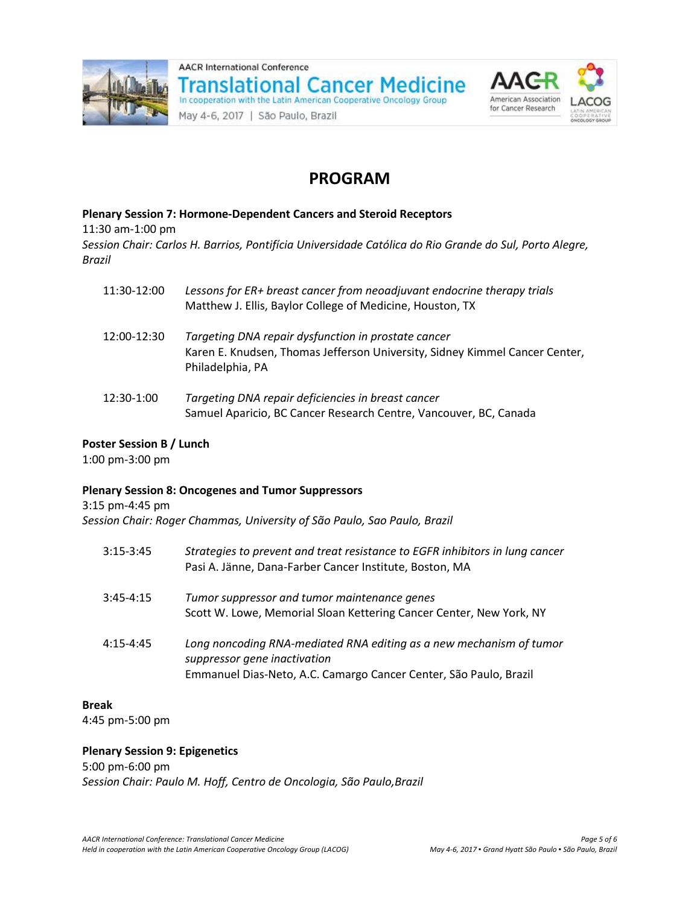





**Plenary Session 7: Hormone-Dependent Cancers and Steroid Receptors** 11:30 am-1:00 pm *Session Chair: Carlos H. Barrios, Pontifícia Universidade Católica do Rio Grande do Sul, Porto Alegre, Brazil*

| 11:30-12:00 | Lessons for ER+ breast cancer from neoadjuvant endocrine therapy trials<br>Matthew J. Ellis, Baylor College of Medicine, Houston, TX                   |
|-------------|--------------------------------------------------------------------------------------------------------------------------------------------------------|
| 12:00-12:30 | Targeting DNA repair dysfunction in prostate cancer<br>Karen E. Knudsen, Thomas Jefferson University, Sidney Kimmel Cancer Center,<br>Philadelphia, PA |
| 12:30-1:00  | Targeting DNA repair deficiencies in breast cancer<br>Samuel Aparicio, BC Cancer Research Centre, Vancouver, BC, Canada                                |

#### **Poster Session B / Lunch**

1:00 pm-3:00 pm

#### **Plenary Session 8: Oncogenes and Tumor Suppressors**

3:15 pm-4:45 pm

*Session Chair: Roger Chammas, University of São Paulo, Sao Paulo, Brazil*

| $3:15-3:45$   | Strategies to prevent and treat resistance to EGFR inhibitors in lung cancer<br>Pasi A. Jänne, Dana-Farber Cancer Institute, Boston, MA                                  |
|---------------|--------------------------------------------------------------------------------------------------------------------------------------------------------------------------|
| $3:45 - 4:15$ | Tumor suppressor and tumor maintenance genes<br>Scott W. Lowe, Memorial Sloan Kettering Cancer Center, New York, NY                                                      |
| $4:15 - 4:45$ | Long noncoding RNA-mediated RNA editing as a new mechanism of tumor<br>suppressor gene inactivation<br>Emmanuel Dias-Neto, A.C. Camargo Cancer Center, São Paulo, Brazil |

#### **Break**

4:45 pm-5:00 pm

#### **Plenary Session 9: Epigenetics**

5:00 pm-6:00 pm

*Session Chair: Paulo M. Hoff, Centro de Oncologia, São Paulo,Brazil*